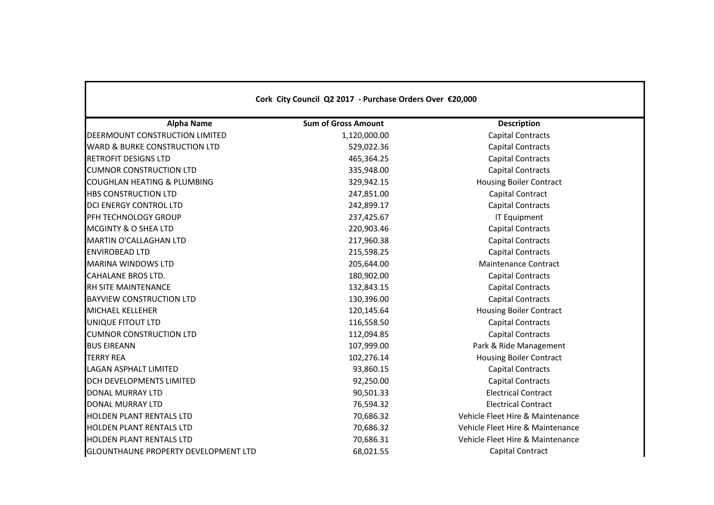| Cork City Council Q2 2017 - Purchase Orders Over €20,000 |                            |                                  |  |  |
|----------------------------------------------------------|----------------------------|----------------------------------|--|--|
| <b>Alpha Name</b>                                        | <b>Sum of Gross Amount</b> | <b>Description</b>               |  |  |
| DEERMOUNT CONSTRUCTION LIMITED                           | 1,120,000.00               | <b>Capital Contracts</b>         |  |  |
| <b>WARD &amp; BURKE CONSTRUCTION LTD</b>                 | 529,022.36                 | <b>Capital Contracts</b>         |  |  |
| <b>RETROFIT DESIGNS LTD</b>                              | 465,364.25                 | <b>Capital Contracts</b>         |  |  |
| <b>CUMNOR CONSTRUCTION LTD</b>                           | 335,948.00                 | <b>Capital Contracts</b>         |  |  |
| <b>COUGHLAN HEATING &amp; PLUMBING</b>                   | 329,942.15                 | <b>Housing Boiler Contract</b>   |  |  |
| <b>HBS CONSTRUCTION LTD</b>                              | 247,851.00                 | Capital Contract                 |  |  |
| DCI ENERGY CONTROL LTD                                   | 242,899.17                 | <b>Capital Contracts</b>         |  |  |
| PFH TECHNOLOGY GROUP                                     | 237,425.67                 | <b>IT Equipment</b>              |  |  |
| MCGINTY & O SHEA LTD                                     | 220,903.46                 | <b>Capital Contracts</b>         |  |  |
| MARTIN O'CALLAGHAN LTD                                   | 217,960.38                 | <b>Capital Contracts</b>         |  |  |
| <b>ENVIROBEAD LTD</b>                                    | 215,598.25                 | <b>Capital Contracts</b>         |  |  |
| <b>MARINA WINDOWS LTD</b>                                | 205,644.00                 | <b>Maintenance Contract</b>      |  |  |
| <b>CAHALANE BROS LTD.</b>                                | 180,902.00                 | <b>Capital Contracts</b>         |  |  |
| RH SITE MAINTENANCE                                      | 132,843.15                 | <b>Capital Contracts</b>         |  |  |
| <b>BAYVIEW CONSTRUCTION LTD</b>                          | 130,396.00                 | <b>Capital Contracts</b>         |  |  |
| <b>MICHAEL KELLEHER</b>                                  | 120,145.64                 | <b>Housing Boiler Contract</b>   |  |  |
| UNIQUE FITOUT LTD                                        | 116,558.50                 | <b>Capital Contracts</b>         |  |  |
| <b>CUMNOR CONSTRUCTION LTD</b>                           | 112,094.85                 | <b>Capital Contracts</b>         |  |  |
| <b>BUS EIREANN</b>                                       | 107,999.00                 | Park & Ride Management           |  |  |
| <b>TERRY REA</b>                                         | 102,276.14                 | <b>Housing Boiler Contract</b>   |  |  |
| <b>LAGAN ASPHALT LIMITED</b>                             | 93,860.15                  | <b>Capital Contracts</b>         |  |  |
| <b>DCH DEVELOPMENTS LIMITED</b>                          | 92,250.00                  | <b>Capital Contracts</b>         |  |  |
| <b>DONAL MURRAY LTD</b>                                  | 90,501.33                  | <b>Electrical Contract</b>       |  |  |
| DONAL MURRAY LTD                                         | 76,594.32                  | <b>Electrical Contract</b>       |  |  |
| <b>HOLDEN PLANT RENTALS LTD</b>                          | 70,686.32                  | Vehicle Fleet Hire & Maintenance |  |  |
| <b>HOLDEN PLANT RENTALS LTD</b>                          | 70,686.32                  | Vehicle Fleet Hire & Maintenance |  |  |
| <b>HOLDEN PLANT RENTALS LTD</b>                          | 70,686.31                  | Vehicle Fleet Hire & Maintenance |  |  |
| <b>GLOUNTHAUNE PROPERTY DEVELOPMENT LTD</b>              | 68,021.55                  | Capital Contract                 |  |  |

 $\mathbf{I}$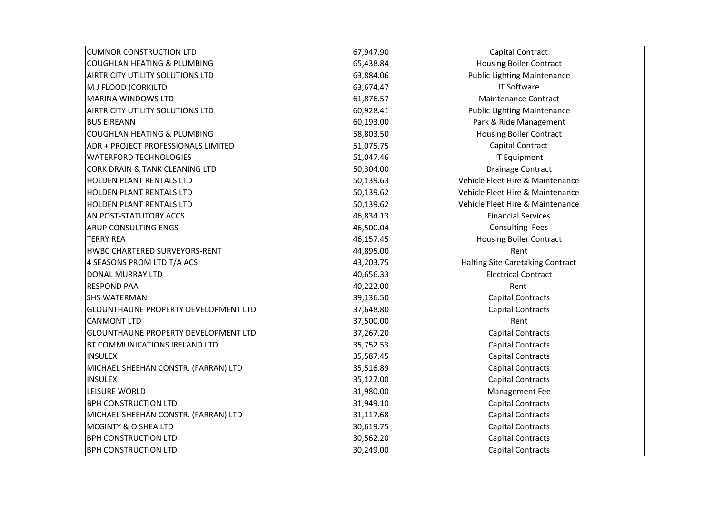| <b>CUMNOR CONSTRUCTION LTD</b>              | 67,947.90 | Capital Contract                   |
|---------------------------------------------|-----------|------------------------------------|
| <b>COUGHLAN HEATING &amp; PLUMBING</b>      | 65,438.84 | <b>Housing Boiler Contract</b>     |
| <b>AIRTRICITY UTILITY SOLUTIONS LTD</b>     | 63,884.06 | <b>Public Lighting Maintenance</b> |
| M J FLOOD (CORK)LTD                         | 63,674.47 | <b>IT Software</b>                 |
| <b>MARINA WINDOWS LTD</b>                   | 61,876.57 | <b>Maintenance Contract</b>        |
| <b>AIRTRICITY UTILITY SOLUTIONS LTD</b>     | 60,928.41 | <b>Public Lighting Maintenance</b> |
| <b>BUS EIREANN</b>                          | 60,193.00 | Park & Ride Management             |
| <b>COUGHLAN HEATING &amp; PLUMBING</b>      | 58,803.50 | <b>Housing Boiler Contract</b>     |
| ADR + PROJECT PROFESSIONALS LIMITED         | 51,075.75 | Capital Contract                   |
| <b>WATERFORD TECHNOLOGIES</b>               | 51,047.46 | <b>IT Equipment</b>                |
| <b>CORK DRAIN &amp; TANK CLEANING LTD</b>   | 50,304.00 | <b>Drainage Contract</b>           |
| <b>HOLDEN PLANT RENTALS LTD</b>             | 50,139.63 | Vehicle Fleet Hire & Maintenance   |
| HOLDEN PLANT RENTALS LTD                    | 50,139.62 | Vehicle Fleet Hire & Maintenance   |
| <b>HOLDEN PLANT RENTALS LTD</b>             | 50,139.62 | Vehicle Fleet Hire & Maintenance   |
| AN POST-STATUTORY ACCS                      | 46,834.13 | <b>Financial Services</b>          |
| <b>ARUP CONSULTING ENGS</b>                 | 46,500.04 | Consulting Fees                    |
| <b>TERRY REA</b>                            | 46,157.45 | <b>Housing Boiler Contract</b>     |
| HWBC CHARTERED SURVEYORS-RENT               | 44,895.00 | Rent                               |
| 4 SEASONS PROM LTD T/A ACS                  | 43,203.75 | Halting Site Caretaking Contract   |
| <b>DONAL MURRAY LTD</b>                     | 40,656.33 | <b>Electrical Contract</b>         |
| <b>RESPOND PAA</b>                          | 40,222.00 | Rent                               |
| <b>SHS WATERMAN</b>                         | 39,136.50 | <b>Capital Contracts</b>           |
| <b>GLOUNTHAUNE PROPERTY DEVELOPMENT LTD</b> | 37,648.80 | <b>Capital Contracts</b>           |
| <b>CANMONT LTD</b>                          | 37,500.00 | Rent                               |
| <b>GLOUNTHAUNE PROPERTY DEVELOPMENT LTD</b> | 37,267.20 | <b>Capital Contracts</b>           |
| BT COMMUNICATIONS IRELAND LTD               | 35,752.53 | <b>Capital Contracts</b>           |
| <b>INSULEX</b>                              | 35,587.45 | <b>Capital Contracts</b>           |
| MICHAEL SHEEHAN CONSTR. (FARRAN) LTD        | 35,516.89 | <b>Capital Contracts</b>           |
| <b>INSULEX</b>                              | 35,127.00 | <b>Capital Contracts</b>           |
| LEISURE WORLD                               | 31,980.00 | Management Fee                     |
| <b>BPH CONSTRUCTION LTD</b>                 | 31,949.10 | <b>Capital Contracts</b>           |
| MICHAEL SHEEHAN CONSTR. (FARRAN) LTD        | 31,117.68 | <b>Capital Contracts</b>           |
| MCGINTY & O SHEA LTD                        | 30,619.75 | <b>Capital Contracts</b>           |
| <b>BPH CONSTRUCTION LTD</b>                 | 30,562.20 | <b>Capital Contracts</b>           |
| <b>BPH CONSTRUCTION LTD</b>                 | 30,249.00 | <b>Capital Contracts</b>           |